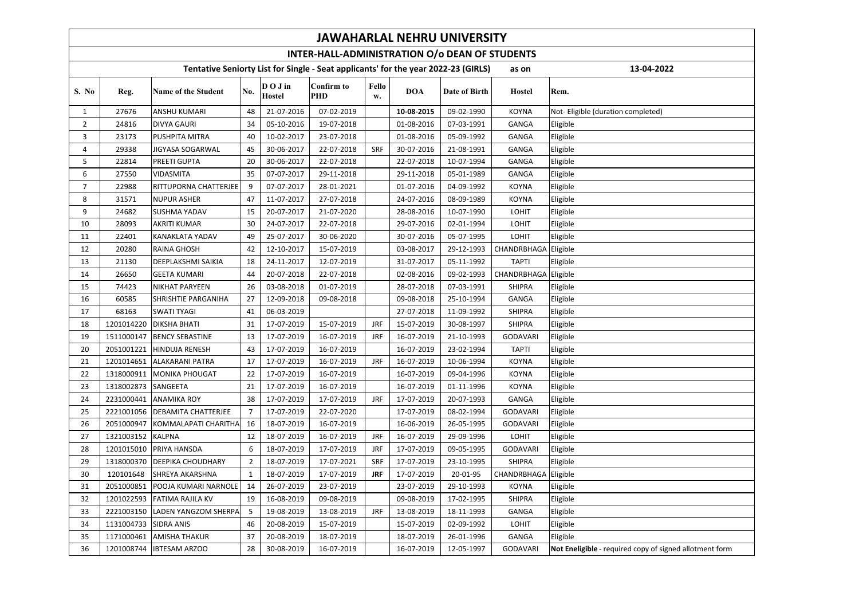| <b>JAWAHARLAL NEHRU UNIVERSITY</b>                                                                        |            |                            |                |                                                            |                                 |             |            |               |                      |                                                         |  |  |
|-----------------------------------------------------------------------------------------------------------|------------|----------------------------|----------------|------------------------------------------------------------|---------------------------------|-------------|------------|---------------|----------------------|---------------------------------------------------------|--|--|
| INTER-HALL-ADMINISTRATION O/o DEAN OF STUDENTS                                                            |            |                            |                |                                                            |                                 |             |            |               |                      |                                                         |  |  |
| Tentative Seniorty List for Single - Seat applicants' for the year 2022-23 (GIRLS)<br>13-04-2022<br>as on |            |                            |                |                                                            |                                 |             |            |               |                      |                                                         |  |  |
| S. No                                                                                                     | Reg.       | <b>Name of the Student</b> | No.            | $\mathbf{D}$ $\mathbf{O}$ $\mathbf{J}$ in<br><b>Hostel</b> | <b>Confirm to</b><br><b>PHD</b> | Fello<br>w. | <b>DOA</b> | Date of Birth | <b>Hostel</b>        | Rem.                                                    |  |  |
| $\mathbf{1}$                                                                                              | 27676      | ANSHU KUMARI               | 48             | 21-07-2016                                                 | 07-02-2019                      |             | 10-08-2015 | 09-02-1990    | <b>KOYNA</b>         | Not- Eligible (duration completed)                      |  |  |
| $\overline{2}$                                                                                            | 24816      | <b>DIVYA GAURI</b>         | 34             | 05-10-2016                                                 | 19-07-2018                      |             | 01-08-2016 | 07-03-1991    | GANGA                | Eligible                                                |  |  |
| 3                                                                                                         | 23173      | PUSHPITA MITRA             | 40             | 10-02-2017                                                 | 23-07-2018                      |             | 01-08-2016 | 05-09-1992    | <b>GANGA</b>         | Eligible                                                |  |  |
| 4                                                                                                         | 29338      | JIGYASA SOGARWAL           | 45             | 30-06-2017                                                 | 22-07-2018                      | SRF         | 30-07-2016 | 21-08-1991    | <b>GANGA</b>         | Eligible                                                |  |  |
| 5                                                                                                         | 22814      | PREETI GUPTA               | 20             | 30-06-2017                                                 | 22-07-2018                      |             | 22-07-2018 | 10-07-1994    | <b>GANGA</b>         | Eligible                                                |  |  |
| 6                                                                                                         | 27550      | VIDASMITA                  | 35             | 07-07-2017                                                 | 29-11-2018                      |             | 29-11-2018 | 05-01-1989    | <b>GANGA</b>         | Eligible                                                |  |  |
| $\overline{7}$                                                                                            | 22988      | RITTUPORNA CHATTERJEE      | 9              | 07-07-2017                                                 | 28-01-2021                      |             | 01-07-2016 | 04-09-1992    | <b>KOYNA</b>         | Eligible                                                |  |  |
| 8                                                                                                         | 31571      | NUPUR ASHER                | 47             | 11-07-2017                                                 | 27-07-2018                      |             | 24-07-2016 | 08-09-1989    | <b>KOYNA</b>         | Eligible                                                |  |  |
| 9                                                                                                         | 24682      | SUSHMA YADAV               | 15             | 20-07-2017                                                 | 21-07-2020                      |             | 28-08-2016 | 10-07-1990    | <b>LOHIT</b>         | Eligible                                                |  |  |
| 10                                                                                                        | 28093      | AKRITI KUMAR               | 30             | 24-07-2017                                                 | 22-07-2018                      |             | 29-07-2016 | 02-01-1994    | LOHIT                | Eligible                                                |  |  |
| 11                                                                                                        | 22401      | KANAKLATA YADAV            | 49             | 25-07-2017                                                 | 30-06-2020                      |             | 30-07-2016 | 05-07-1995    | <b>LOHIT</b>         | Eligible                                                |  |  |
| 12                                                                                                        | 20280      | RAINA GHOSH                | 42             | 12-10-2017                                                 | 15-07-2019                      |             | 03-08-2017 | 29-12-1993    | CHANDRBHAGA          | Eligible                                                |  |  |
| 13                                                                                                        | 21130      | DEEPLAKSHMI SAIKIA         | 18             | 24-11-2017                                                 | 12-07-2019                      |             | 31-07-2017 | 05-11-1992    | <b>TAPTI</b>         | Eligible                                                |  |  |
| 14                                                                                                        | 26650      | <b>GEETA KUMARI</b>        | 44             | 20-07-2018                                                 | 22-07-2018                      |             | 02-08-2016 | 09-02-1993    | CHANDRBHAGA Eligible |                                                         |  |  |
| 15                                                                                                        | 74423      | NIKHAT PARYEEN             | 26             | 03-08-2018                                                 | 01-07-2019                      |             | 28-07-2018 | 07-03-1991    | <b>SHIPRA</b>        | Eligible                                                |  |  |
| 16                                                                                                        | 60585      | SHRISHTIE PARGANIHA        | 27             | 12-09-2018                                                 | 09-08-2018                      |             | 09-08-2018 | 25-10-1994    | GANGA                | Eligible                                                |  |  |
| 17                                                                                                        | 68163      | <b>SWATI TYAGI</b>         | 41             | 06-03-2019                                                 |                                 |             | 27-07-2018 | 11-09-1992    | <b>SHIPRA</b>        | Eligible                                                |  |  |
| 18                                                                                                        | 1201014220 | DIKSHA BHATI               | 31             | 17-07-2019                                                 | 15-07-2019                      | <b>JRF</b>  | 15-07-2019 | 30-08-1997    | <b>SHIPRA</b>        | Eligible                                                |  |  |
| 19                                                                                                        | 1511000147 | <b>BENCY SEBASTINE</b>     | 13             | 17-07-2019                                                 | 16-07-2019                      | <b>JRF</b>  | 16-07-2019 | 21-10-1993    | <b>GODAVARI</b>      | Eligible                                                |  |  |
| 20                                                                                                        | 2051001221 | HINDUJA RENESH             | 43             | 17-07-2019                                                 | 16-07-2019                      |             | 16-07-2019 | 23-02-1994    | <b>TAPTI</b>         | Eligible                                                |  |  |
| 21                                                                                                        | 1201014651 | <b>ALAKARANI PATRA</b>     | 17             | 17-07-2019                                                 | 16-07-2019                      | <b>JRF</b>  | 16-07-2019 | 10-06-1994    | <b>KOYNA</b>         | Eligible                                                |  |  |
| 22                                                                                                        | 1318000911 | <b>MONIKA PHOUGAT</b>      | 22             | 17-07-2019                                                 | 16-07-2019                      |             | 16-07-2019 | 09-04-1996    | <b>KOYNA</b>         | Eligible                                                |  |  |
| 23                                                                                                        | 1318002873 | SANGEETA                   | 21             | 17-07-2019                                                 | 16-07-2019                      |             | 16-07-2019 | 01-11-1996    | <b>KOYNA</b>         | Eligible                                                |  |  |
| 24                                                                                                        | 2231000441 | <b>ANAMIKA ROY</b>         | 38             | 17-07-2019                                                 | 17-07-2019                      | <b>JRF</b>  | 17-07-2019 | 20-07-1993    | GANGA                | Eligible                                                |  |  |
| 25                                                                                                        | 2221001056 | DEBAMITA CHATTERJEE        | $\overline{7}$ | 17-07-2019                                                 | 22-07-2020                      |             | 17-07-2019 | 08-02-1994    | <b>GODAVARI</b>      | Eligible                                                |  |  |
| 26                                                                                                        | 2051000947 | KOMMALAPATI CHARITHA       | 16             | 18-07-2019                                                 | 16-07-2019                      |             | 16-06-2019 | 26-05-1995    | <b>GODAVARI</b>      | Eligible                                                |  |  |
| 27                                                                                                        | 1321003152 | <b>KALPNA</b>              | 12             | 18-07-2019                                                 | 16-07-2019                      | <b>JRF</b>  | 16-07-2019 | 29-09-1996    | LOHIT                | Eligible                                                |  |  |
| 28                                                                                                        | 1201015010 | PRIYA HANSDA               | 6              | 18-07-2019                                                 | 17-07-2019                      | <b>JRF</b>  | 17-07-2019 | 09-05-1995    | <b>GODAVARI</b>      | Eligible                                                |  |  |
| 29                                                                                                        | 1318000370 | DEEPIKA CHOUDHARY          | $\overline{2}$ | 18-07-2019                                                 | 17-07-2021                      | <b>SRF</b>  | 17-07-2019 | 23-10-1995    | <b>SHIPRA</b>        | Eligible                                                |  |  |
| 30                                                                                                        | 120101648  | SHREYA AKARSHNA            | $\mathbf{1}$   | 18-07-2019                                                 | 17-07-2019                      | <b>JRF</b>  | 17-07-2019 | 20-01-95      | CHANDRBHAGA          | Eligible                                                |  |  |
| 31                                                                                                        | 2051000851 | POOJA KUMARI NARNOLE       | 14             | 26-07-2019                                                 | 23-07-2019                      |             | 23-07-2019 | 29-10-1993    | <b>KOYNA</b>         | Eligible                                                |  |  |
| 32                                                                                                        | 1201022593 | FATIMA RAJILA KV           | 19             | 16-08-2019                                                 | 09-08-2019                      |             | 09-08-2019 | 17-02-1995    | <b>SHIPRA</b>        | Eligible                                                |  |  |
| 33                                                                                                        | 2221003150 | LADEN YANGZOM SHERPA       | 5              | 19-08-2019                                                 | 13-08-2019                      | <b>JRF</b>  | 13-08-2019 | 18-11-1993    | <b>GANGA</b>         | Eligible                                                |  |  |
| 34                                                                                                        | 1131004733 | SIDRA ANIS                 | 46             | 20-08-2019                                                 | 15-07-2019                      |             | 15-07-2019 | 02-09-1992    | <b>LOHIT</b>         | Eligible                                                |  |  |
| 35                                                                                                        | 1171000461 | AMISHA THAKUR              | 37             | 20-08-2019                                                 | 18-07-2019                      |             | 18-07-2019 | 26-01-1996    | GANGA                | Eligible                                                |  |  |
| 36                                                                                                        | 1201008744 | <b>IBTESAM ARZOO</b>       | 28             | 30-08-2019                                                 | 16-07-2019                      |             | 16-07-2019 | 12-05-1997    | <b>GODAVARI</b>      | Not Eneligible - required copy of signed allotment form |  |  |